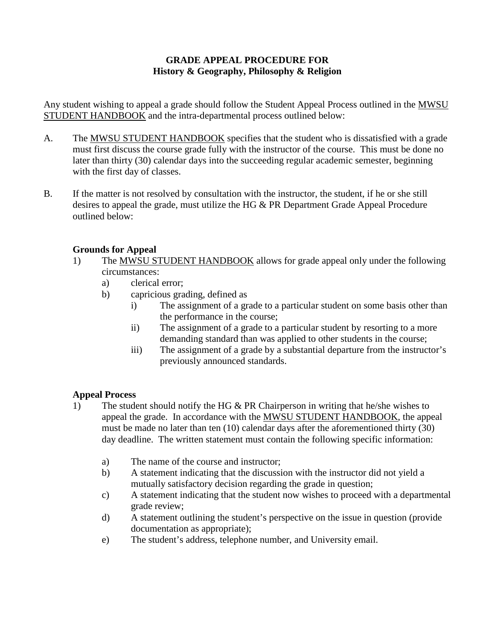## **GRADE APPEAL PROCEDURE FOR History & Geography, Philosophy & Religion**

Any student wishing to appeal a grade should follow the Student Appeal Process outlined in the MWSU STUDENT HANDBOOK and the intra-departmental process outlined below:

- A. The MWSU STUDENT HANDBOOK specifies that the student who is dissatisfied with a grade must first discuss the course grade fully with the instructor of the course. This must be done no later than thirty (30) calendar days into the succeeding regular academic semester, beginning with the first day of classes.
- B. If the matter is not resolved by consultation with the instructor, the student, if he or she still desires to appeal the grade, must utilize the HG & PR Department Grade Appeal Procedure outlined below:

## **Grounds for Appeal**

- 1) The MWSU STUDENT HANDBOOK allows for grade appeal only under the following circumstances:
	- a) clerical error;
	- b) capricious grading, defined as
		- i) The assignment of a grade to a particular student on some basis other than the performance in the course;
		- ii) The assignment of a grade to a particular student by resorting to a more demanding standard than was applied to other students in the course;
		- iii) The assignment of a grade by a substantial departure from the instructor's previously announced standards.

## **Appeal Process**

- 1) The student should notify the HG & PR Chairperson in writing that he/she wishes to appeal the grade. In accordance with the MWSU STUDENT HANDBOOK, the appeal must be made no later than ten (10) calendar days after the aforementioned thirty (30) day deadline. The written statement must contain the following specific information:
	- a) The name of the course and instructor;
	- b) A statement indicating that the discussion with the instructor did not yield a mutually satisfactory decision regarding the grade in question;
	- c) A statement indicating that the student now wishes to proceed with a departmental grade review;
	- d) A statement outlining the student's perspective on the issue in question (provide documentation as appropriate);
	- e) The student's address, telephone number, and University email.